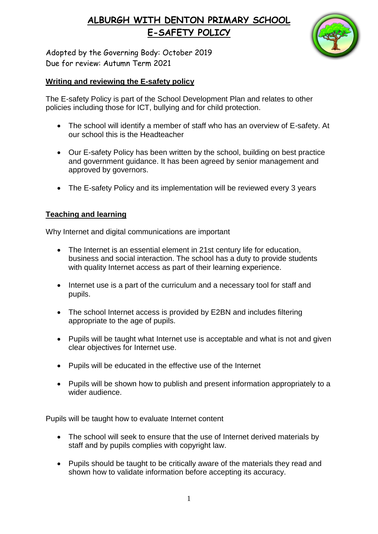

Adopted by the Governing Body: October 2019 Due for review: Autumn Term 2021

#### **Writing and reviewing the E-safety policy**

The E-safety Policy is part of the School Development Plan and relates to other policies including those for ICT, bullying and for child protection.

- The school will identify a member of staff who has an overview of E-safety. At our school this is the Headteacher
- Our E-safety Policy has been written by the school, building on best practice and government guidance. It has been agreed by senior management and approved by governors.
- The E-safety Policy and its implementation will be reviewed every 3 years

#### **Teaching and learning**

Why Internet and digital communications are important

- The Internet is an essential element in 21st century life for education, business and social interaction. The school has a duty to provide students with quality Internet access as part of their learning experience.
- Internet use is a part of the curriculum and a necessary tool for staff and pupils.
- The school Internet access is provided by E2BN and includes filtering appropriate to the age of pupils.
- Pupils will be taught what Internet use is acceptable and what is not and given clear objectives for Internet use.
- Pupils will be educated in the effective use of the Internet
- Pupils will be shown how to publish and present information appropriately to a wider audience.

Pupils will be taught how to evaluate Internet content

- The school will seek to ensure that the use of Internet derived materials by staff and by pupils complies with copyright law.
- Pupils should be taught to be critically aware of the materials they read and shown how to validate information before accepting its accuracy.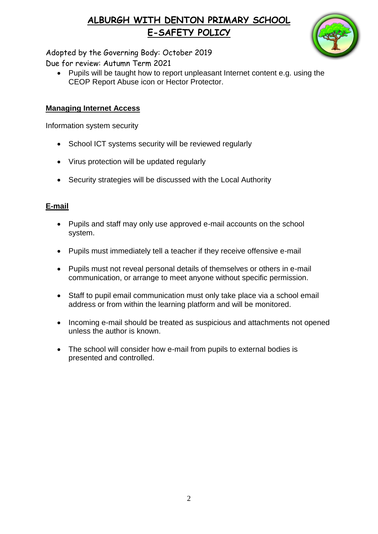

Adopted by the Governing Body: October 2019 Due for review: Autumn Term 2021

• Pupils will be taught how to report unpleasant Internet content e.g. using the CEOP Report Abuse icon or Hector Protector.

#### **Managing Internet Access**

Information system security

- School ICT systems security will be reviewed regularly
- Virus protection will be updated regularly
- Security strategies will be discussed with the Local Authority

#### **E-mail**

- Pupils and staff may only use approved e-mail accounts on the school system.
- Pupils must immediately tell a teacher if they receive offensive e-mail
- Pupils must not reveal personal details of themselves or others in e-mail communication, or arrange to meet anyone without specific permission.
- Staff to pupil email communication must only take place via a school email address or from within the learning platform and will be monitored.
- Incoming e-mail should be treated as suspicious and attachments not opened unless the author is known.
- The school will consider how e-mail from pupils to external bodies is presented and controlled.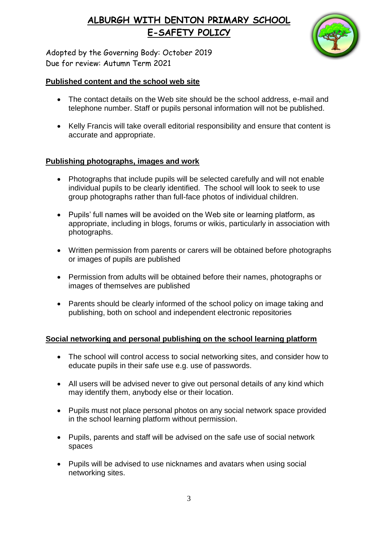

Adopted by the Governing Body: October 2019 Due for review: Autumn Term 2021

#### **Published content and the school web site**

- The contact details on the Web site should be the school address, e-mail and telephone number. Staff or pupils personal information will not be published.
- Kelly Francis will take overall editorial responsibility and ensure that content is accurate and appropriate.

#### **Publishing photographs, images and work**

- Photographs that include pupils will be selected carefully and will not enable individual pupils to be clearly identified. The school will look to seek to use group photographs rather than full-face photos of individual children.
- Pupils' full names will be avoided on the Web site or learning platform, as appropriate, including in blogs, forums or wikis, particularly in association with photographs.
- Written permission from parents or carers will be obtained before photographs or images of pupils are published
- Permission from adults will be obtained before their names, photographs or images of themselves are published
- Parents should be clearly informed of the school policy on image taking and publishing, both on school and independent electronic repositories

#### **Social networking and personal publishing on the school learning platform**

- The school will control access to social networking sites, and consider how to educate pupils in their safe use e.g. use of passwords.
- All users will be advised never to give out personal details of any kind which may identify them, anybody else or their location.
- Pupils must not place personal photos on any social network space provided in the school learning platform without permission.
- Pupils, parents and staff will be advised on the safe use of social network spaces
- Pupils will be advised to use nicknames and avatars when using social networking sites.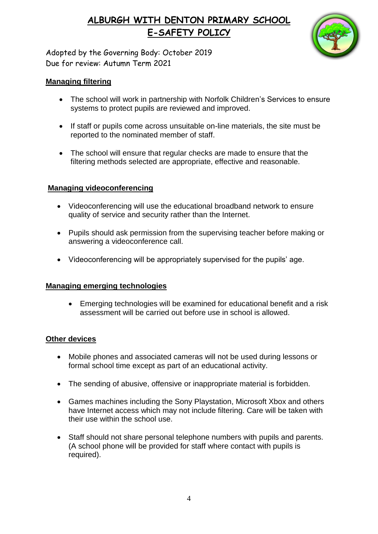

Adopted by the Governing Body: October 2019 Due for review: Autumn Term 2021

#### **Managing filtering**

- The school will work in partnership with Norfolk Children's Services to ensure systems to protect pupils are reviewed and improved.
- If staff or pupils come across unsuitable on-line materials, the site must be reported to the nominated member of staff.
- The school will ensure that regular checks are made to ensure that the filtering methods selected are appropriate, effective and reasonable.

#### **Managing videoconferencing**

- Videoconferencing will use the educational broadband network to ensure quality of service and security rather than the Internet.
- Pupils should ask permission from the supervising teacher before making or answering a videoconference call.
- Videoconferencing will be appropriately supervised for the pupils' age.

#### **Managing emerging technologies**

 Emerging technologies will be examined for educational benefit and a risk assessment will be carried out before use in school is allowed.

#### **Other devices**

- Mobile phones and associated cameras will not be used during lessons or formal school time except as part of an educational activity.
- The sending of abusive, offensive or inappropriate material is forbidden.
- Games machines including the Sony Playstation, Microsoft Xbox and others have Internet access which may not include filtering. Care will be taken with their use within the school use.
- Staff should not share personal telephone numbers with pupils and parents. (A school phone will be provided for staff where contact with pupils is required).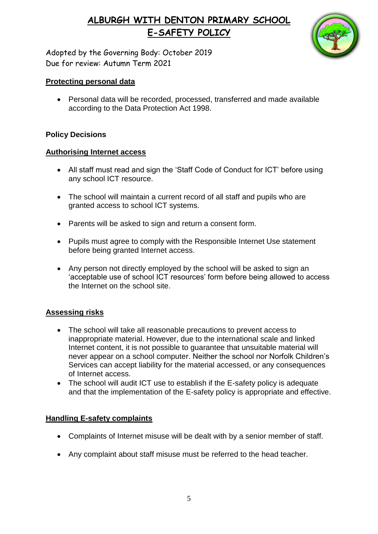

Adopted by the Governing Body: October 2019 Due for review: Autumn Term 2021

#### **Protecting personal data**

 Personal data will be recorded, processed, transferred and made available according to the Data Protection Act 1998.

#### **Policy Decisions**

#### **Authorising Internet access**

- All staff must read and sign the 'Staff Code of Conduct for ICT' before using any school ICT resource.
- The school will maintain a current record of all staff and pupils who are granted access to school ICT systems.
- Parents will be asked to sign and return a consent form.
- Pupils must agree to comply with the Responsible Internet Use statement before being granted Internet access.
- Any person not directly employed by the school will be asked to sign an 'acceptable use of school ICT resources' form before being allowed to access the Internet on the school site.

#### **Assessing risks**

- The school will take all reasonable precautions to prevent access to inappropriate material. However, due to the international scale and linked Internet content, it is not possible to guarantee that unsuitable material will never appear on a school computer. Neither the school nor Norfolk Children's Services can accept liability for the material accessed, or any consequences of Internet access.
- The school will audit ICT use to establish if the E-safety policy is adequate and that the implementation of the E-safety policy is appropriate and effective.

#### **Handling E-safety complaints**

- Complaints of Internet misuse will be dealt with by a senior member of staff.
- Any complaint about staff misuse must be referred to the head teacher.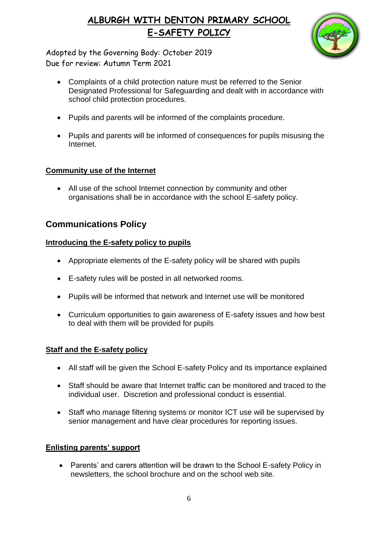

Adopted by the Governing Body: October 2019 Due for review: Autumn Term 2021

- Complaints of a child protection nature must be referred to the Senior Designated Professional for Safeguarding and dealt with in accordance with school child protection procedures.
- Pupils and parents will be informed of the complaints procedure.
- Pupils and parents will be informed of consequences for pupils misusing the Internet.

#### **Community use of the Internet**

 All use of the school Internet connection by community and other organisations shall be in accordance with the school E-safety policy.

## **Communications Policy**

#### **Introducing the E-safety policy to pupils**

- Appropriate elements of the E-safety policy will be shared with pupils
- E-safety rules will be posted in all networked rooms.
- Pupils will be informed that network and Internet use will be monitored
- Curriculum opportunities to gain awareness of E-safety issues and how best to deal with them will be provided for pupils

## **Staff and the E-safety policy**

- All staff will be given the School E-safety Policy and its importance explained
- Staff should be aware that Internet traffic can be monitored and traced to the individual user. Discretion and professional conduct is essential.
- Staff who manage filtering systems or monitor ICT use will be supervised by senior management and have clear procedures for reporting issues.

## **Enlisting parents' support**

• Parents' and carers attention will be drawn to the School E-safety Policy in newsletters, the school brochure and on the school web site.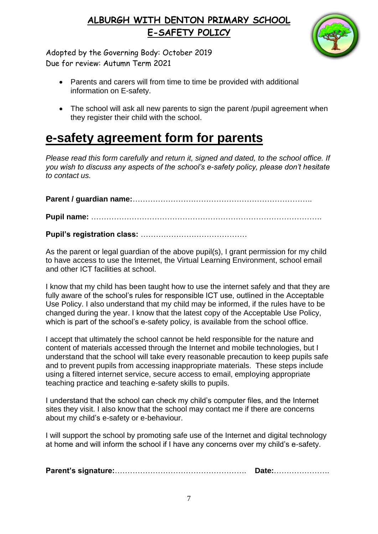

Adopted by the Governing Body: October 2019 Due for review: Autumn Term 2021

- Parents and carers will from time to time be provided with additional information on E-safety.
- The school will ask all new parents to sign the parent /pupil agreement when they register their child with the school.

# **e-safety agreement form for parents**

*Please read this form carefully and return it, signed and dated, to the school office. If you wish to discuss any aspects of the school's e-safety policy, please don't hesitate to contact us.*

**Parent / guardian name:**……………………………………………………………..

**Pupil name:** ……………………………………………………………………………….

**Pupil's registration class:** ……………………………………

As the parent or legal guardian of the above pupil(s), I grant permission for my child to have access to use the Internet, the Virtual Learning Environment, school email and other ICT facilities at school.

I know that my child has been taught how to use the internet safely and that they are fully aware of the school's rules for responsible ICT use, outlined in the Acceptable Use Policy. I also understand that my child may be informed, if the rules have to be changed during the year. I know that the latest copy of the Acceptable Use Policy, which is part of the school's e-safety policy, is available from the school office.

I accept that ultimately the school cannot be held responsible for the nature and content of materials accessed through the Internet and mobile technologies, but I understand that the school will take every reasonable precaution to keep pupils safe and to prevent pupils from accessing inappropriate materials. These steps include using a filtered internet service, secure access to email, employing appropriate teaching practice and teaching e-safety skills to pupils.

I understand that the school can check my child's computer files, and the Internet sites they visit. I also know that the school may contact me if there are concerns about my child's e-safety or e-behaviour.

I will support the school by promoting safe use of the Internet and digital technology at home and will inform the school if I have any concerns over my child's e-safety.

**Parent's signature:**……………………………………………. **Date:**………………….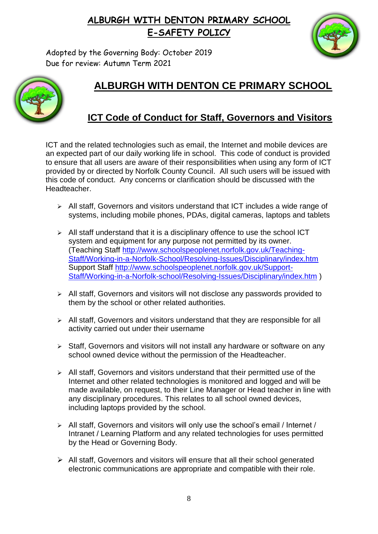

Adopted by the Governing Body: October 2019 Due for review: Autumn Term 2021



# **ALBURGH WITH DENTON CE PRIMARY SCHOOL**

## **ICT Code of Conduct for Staff, Governors and Visitors**

ICT and the related technologies such as email, the Internet and mobile devices are an expected part of our daily working life in school. This code of conduct is provided to ensure that all users are aware of their responsibilities when using any form of ICT provided by or directed by Norfolk County Council. All such users will be issued with this code of conduct. Any concerns or clarification should be discussed with the **Headteacher** 

- $\triangleright$  All staff, Governors and visitors understand that ICT includes a wide range of systems, including mobile phones, PDAs, digital cameras, laptops and tablets
- $\triangleright$  All staff understand that it is a disciplinary offence to use the school ICT system and equipment for any purpose not permitted by its owner. (Teaching Staff [http://www.schoolspeoplenet.norfolk.gov.uk/Teaching-](http://www.schoolspeoplenet.norfolk.gov.uk/Teaching-Staff/Working-in-a-Norfolk-School/Resolving-Issues/Disciplinary/index.htm)[Staff/Working-in-a-Norfolk-School/Resolving-Issues/Disciplinary/index.htm](http://www.schoolspeoplenet.norfolk.gov.uk/Teaching-Staff/Working-in-a-Norfolk-School/Resolving-Issues/Disciplinary/index.htm) Support Staff [http://www.schoolspeoplenet.norfolk.gov.uk/Support-](http://www.schoolspeoplenet.norfolk.gov.uk/Support-Staff/Working-in-a-Norfolk-school/Resolving-Issues/Disciplinary/index.htm)[Staff/Working-in-a-Norfolk-school/Resolving-Issues/Disciplinary/index.htm](http://www.schoolspeoplenet.norfolk.gov.uk/Support-Staff/Working-in-a-Norfolk-school/Resolving-Issues/Disciplinary/index.htm) )
- $\triangleright$  All staff, Governors and visitors will not disclose any passwords provided to them by the school or other related authorities.
- $\triangleright$  All staff, Governors and visitors understand that they are responsible for all activity carried out under their username
- $\triangleright$  Staff, Governors and visitors will not install any hardware or software on any school owned device without the permission of the Headteacher.
- $\triangleright$  All staff, Governors and visitors understand that their permitted use of the Internet and other related technologies is monitored and logged and will be made available, on request, to their Line Manager or Head teacher in line with any disciplinary procedures. This relates to all school owned devices, including laptops provided by the school.
- $\triangleright$  All staff, Governors and visitors will only use the school's email / Internet / Intranet / Learning Platform and any related technologies for uses permitted by the Head or Governing Body.
- $\triangleright$  All staff, Governors and visitors will ensure that all their school generated electronic communications are appropriate and compatible with their role.